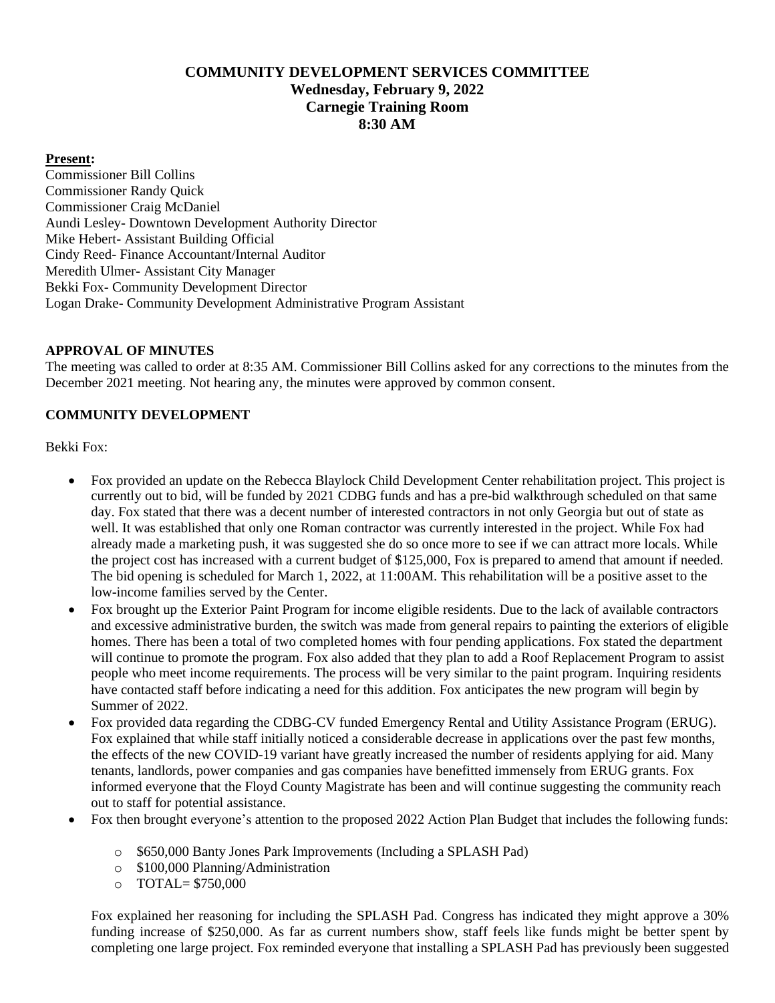# **COMMUNITY DEVELOPMENT SERVICES COMMITTEE Wednesday, February 9, 2022 Carnegie Training Room 8:30 AM**

#### **Present:**

Commissioner Bill Collins Commissioner Randy Quick Commissioner Craig McDaniel Aundi Lesley- Downtown Development Authority Director Mike Hebert- Assistant Building Official Cindy Reed- Finance Accountant/Internal Auditor Meredith Ulmer- Assistant City Manager Bekki Fox- Community Development Director Logan Drake- Community Development Administrative Program Assistant

### **APPROVAL OF MINUTES**

The meeting was called to order at 8:35 AM. Commissioner Bill Collins asked for any corrections to the minutes from the December 2021 meeting. Not hearing any, the minutes were approved by common consent.

### **COMMUNITY DEVELOPMENT**

Bekki Fox:

- Fox provided an update on the Rebecca Blaylock Child Development Center rehabilitation project. This project is currently out to bid, will be funded by 2021 CDBG funds and has a pre-bid walkthrough scheduled on that same day. Fox stated that there was a decent number of interested contractors in not only Georgia but out of state as well. It was established that only one Roman contractor was currently interested in the project. While Fox had already made a marketing push, it was suggested she do so once more to see if we can attract more locals. While the project cost has increased with a current budget of \$125,000, Fox is prepared to amend that amount if needed. The bid opening is scheduled for March 1, 2022, at 11:00AM. This rehabilitation will be a positive asset to the low-income families served by the Center.
- Fox brought up the Exterior Paint Program for income eligible residents. Due to the lack of available contractors and excessive administrative burden, the switch was made from general repairs to painting the exteriors of eligible homes. There has been a total of two completed homes with four pending applications. Fox stated the department will continue to promote the program. Fox also added that they plan to add a Roof Replacement Program to assist people who meet income requirements. The process will be very similar to the paint program. Inquiring residents have contacted staff before indicating a need for this addition. Fox anticipates the new program will begin by Summer of 2022.
- Fox provided data regarding the CDBG-CV funded Emergency Rental and Utility Assistance Program (ERUG). Fox explained that while staff initially noticed a considerable decrease in applications over the past few months, the effects of the new COVID-19 variant have greatly increased the number of residents applying for aid. Many tenants, landlords, power companies and gas companies have benefitted immensely from ERUG grants. Fox informed everyone that the Floyd County Magistrate has been and will continue suggesting the community reach out to staff for potential assistance.
- Fox then brought everyone's attention to the proposed 2022 Action Plan Budget that includes the following funds:
	- o \$650,000 Banty Jones Park Improvements (Including a SPLASH Pad)
	- o \$100,000 Planning/Administration
	- o TOTAL= \$750,000

Fox explained her reasoning for including the SPLASH Pad. Congress has indicated they might approve a 30% funding increase of \$250,000. As far as current numbers show, staff feels like funds might be better spent by completing one large project. Fox reminded everyone that installing a SPLASH Pad has previously been suggested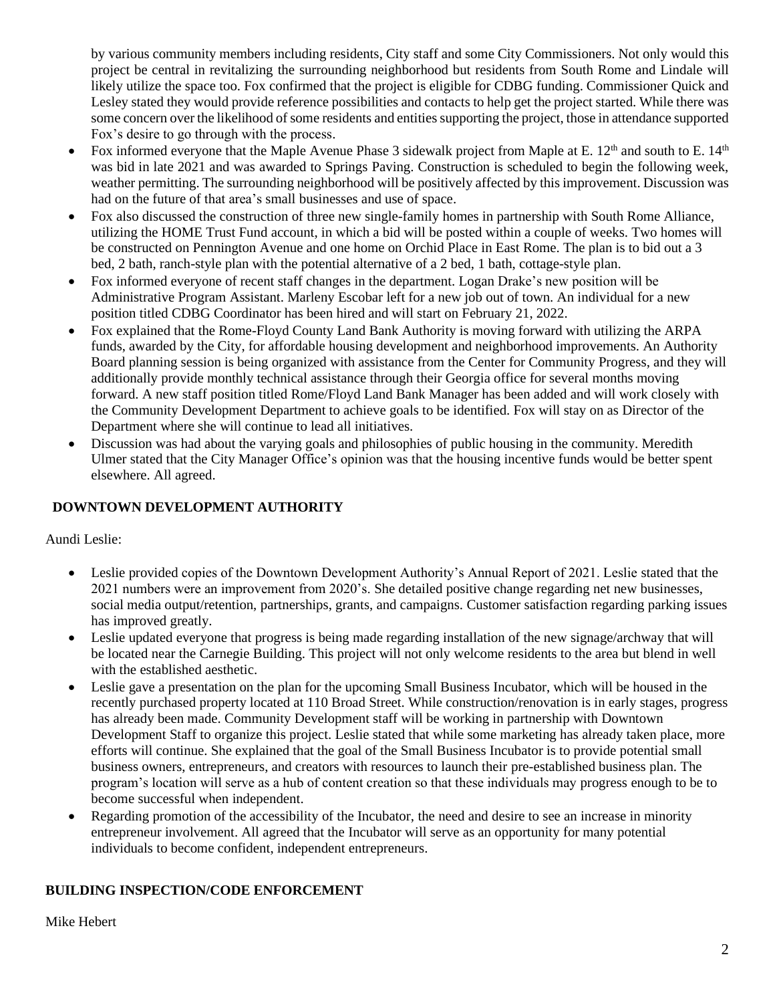by various community members including residents, City staff and some City Commissioners. Not only would this project be central in revitalizing the surrounding neighborhood but residents from South Rome and Lindale will likely utilize the space too. Fox confirmed that the project is eligible for CDBG funding. Commissioner Quick and Lesley stated they would provide reference possibilities and contacts to help get the project started. While there was some concern over the likelihood of some residents and entities supporting the project, those in attendance supported Fox's desire to go through with the process.

- Fox informed everyone that the Maple Avenue Phase 3 sidewalk project from Maple at E.  $12<sup>th</sup>$  and south to E.  $14<sup>th</sup>$ was bid in late 2021 and was awarded to Springs Paving. Construction is scheduled to begin the following week, weather permitting. The surrounding neighborhood will be positively affected by this improvement. Discussion was had on the future of that area's small businesses and use of space.
- Fox also discussed the construction of three new single-family homes in partnership with South Rome Alliance, utilizing the HOME Trust Fund account, in which a bid will be posted within a couple of weeks. Two homes will be constructed on Pennington Avenue and one home on Orchid Place in East Rome. The plan is to bid out a 3 bed, 2 bath, ranch-style plan with the potential alternative of a 2 bed, 1 bath, cottage-style plan.
- Fox informed everyone of recent staff changes in the department. Logan Drake's new position will be Administrative Program Assistant. Marleny Escobar left for a new job out of town. An individual for a new position titled CDBG Coordinator has been hired and will start on February 21, 2022.
- Fox explained that the Rome-Floyd County Land Bank Authority is moving forward with utilizing the ARPA funds, awarded by the City, for affordable housing development and neighborhood improvements. An Authority Board planning session is being organized with assistance from the Center for Community Progress, and they will additionally provide monthly technical assistance through their Georgia office for several months moving forward. A new staff position titled Rome/Floyd Land Bank Manager has been added and will work closely with the Community Development Department to achieve goals to be identified. Fox will stay on as Director of the Department where she will continue to lead all initiatives.
- Discussion was had about the varying goals and philosophies of public housing in the community. Meredith Ulmer stated that the City Manager Office's opinion was that the housing incentive funds would be better spent elsewhere. All agreed.

## **DOWNTOWN DEVELOPMENT AUTHORITY**

Aundi Leslie:

- Leslie provided copies of the Downtown Development Authority's Annual Report of 2021. Leslie stated that the 2021 numbers were an improvement from 2020's. She detailed positive change regarding net new businesses, social media output/retention, partnerships, grants, and campaigns. Customer satisfaction regarding parking issues has improved greatly.
- Leslie updated everyone that progress is being made regarding installation of the new signage/archway that will be located near the Carnegie Building. This project will not only welcome residents to the area but blend in well with the established aesthetic.
- Leslie gave a presentation on the plan for the upcoming Small Business Incubator, which will be housed in the recently purchased property located at 110 Broad Street. While construction/renovation is in early stages, progress has already been made. Community Development staff will be working in partnership with Downtown Development Staff to organize this project. Leslie stated that while some marketing has already taken place, more efforts will continue. She explained that the goal of the Small Business Incubator is to provide potential small business owners, entrepreneurs, and creators with resources to launch their pre-established business plan. The program's location will serve as a hub of content creation so that these individuals may progress enough to be to become successful when independent.
- Regarding promotion of the accessibility of the Incubator, the need and desire to see an increase in minority entrepreneur involvement. All agreed that the Incubator will serve as an opportunity for many potential individuals to become confident, independent entrepreneurs.

## **BUILDING INSPECTION/CODE ENFORCEMENT**

Mike Hebert